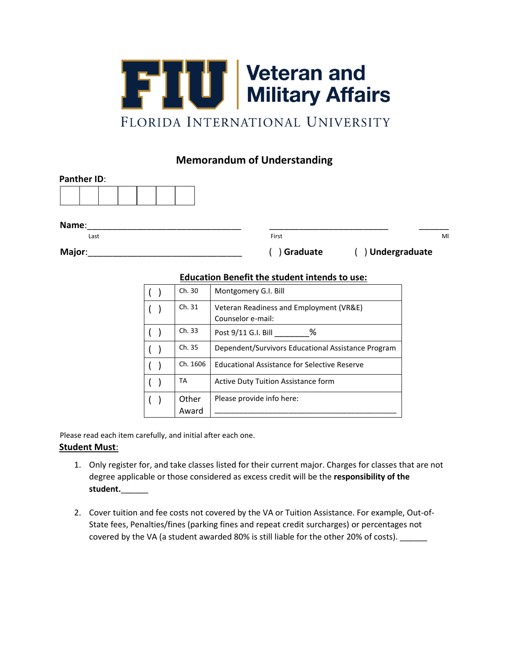

## **Memorandum of Understanding**

| <b>Panther ID:</b> |  |  |  |  |  |  |  |  |
|--------------------|--|--|--|--|--|--|--|--|
|                    |  |  |  |  |  |  |  |  |

**Name**:\_\_\_\_\_\_\_\_\_\_\_\_\_\_\_\_\_\_\_\_\_\_\_\_\_\_\_\_\_\_\_ \_\_\_\_\_\_\_\_\_\_\_\_\_\_\_\_\_\_\_\_\_\_\_\_ \_\_\_\_\_\_

Last **Example 2018** Contract Management of the Contract of Trial Contract of Trial Contract of Millet Annual Contract of Millet Annual Contract of Millet Annual Contract of Millet Annual Contract of Millet Annual Contract

**Major**:\_\_\_\_\_\_\_\_\_\_\_\_\_\_\_\_\_\_\_\_\_\_\_\_\_\_\_\_\_\_\_ ( ) **Graduate** ( ) **Undergraduate**

## **Education Benefit the student intends to use:**

|  | Ch. 30   | Montgomery G.I. Bill                                         |  |
|--|----------|--------------------------------------------------------------|--|
|  | Ch. 31   | Veteran Readiness and Employment (VR&E)<br>Counselor e-mail: |  |
|  |          |                                                              |  |
|  | Ch. 33   | %<br>Post 9/11 G.I. Bill                                     |  |
|  | Ch. 35   | Dependent/Survivors Educational Assistance Program           |  |
|  | Ch. 1606 | <b>Educational Assistance for Selective Reserve</b>          |  |
|  | ТA       | Active Duty Tuition Assistance form                          |  |
|  | Other    | Please provide info here:                                    |  |
|  | Award    |                                                              |  |

Please read each item carefully, and initial after each one.

## **Student Must**:

- 1. Only register for, and take classes listed for their current major. Charges for classes that are not degree applicable or those considered as excess credit will be the **responsibility of the student.**\_\_\_\_\_\_
- 2. Cover tuition and fee costs not covered by the VA or Tuition Assistance. For example, Out-of-State fees, Penalties/fines (parking fines and repeat credit surcharges) or percentages not covered by the VA (a student awarded 80% is still liable for the other 20% of costs).